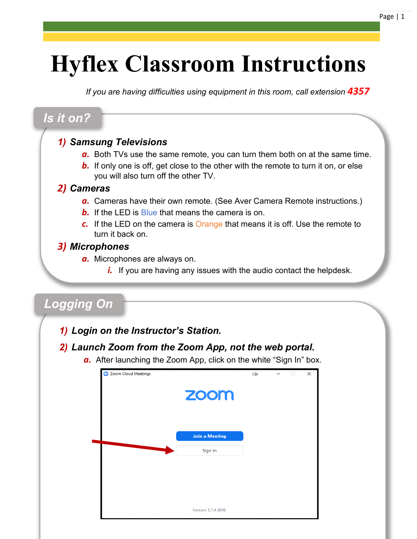# **Hyflex Classroom Instructions**

*If you are having difficulties using equipment in this room, call extension 4357* 

### *Is it on?*

### *1) Samsung Televisions*

- *a.* Both TVs use the same remote, you can turn them both on at the same time.
- **b.** If only one is off, get close to the other with the remote to turn it on, or else you will also turn off the other TV.

#### *2) Cameras*

- *a.* Cameras have their own remote. (See Aver Camera Remote instructions.)
- *b.* If the LED is Blue that means the camera is on.
- *c.* If the LED on the camera is Orange that means it is off. Use the remote to turn it back on.

### *3) Microphones*

- *a.* Microphones are always on.
	- *i.* If you are having any issues with the audio contact the helpdesk.

# *Logging On*

*1) Login on the Instructor's Station.*

### *2) Launch Zoom from the Zoom App, not the web portal.*

*a.* After launching the Zoom App, click on the white "Sign In" box.

| Coom Cloud Meetings |                       | <b>II</b> | п | × |
|---------------------|-----------------------|-----------|---|---|
|                     | zoom                  |           |   |   |
|                     | <b>Join a Meeting</b> |           |   |   |
|                     | Sign In               |           |   |   |
|                     |                       |           |   |   |
|                     | Version: 5.7.4 (804)  |           |   |   |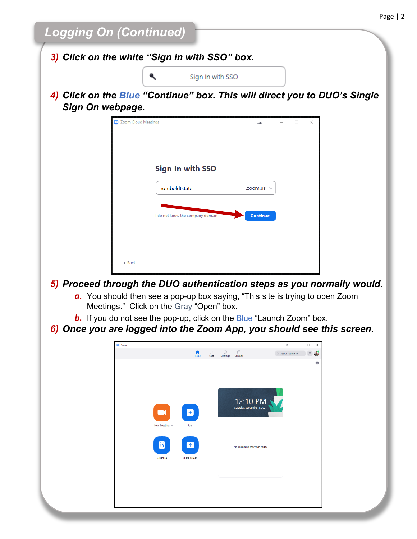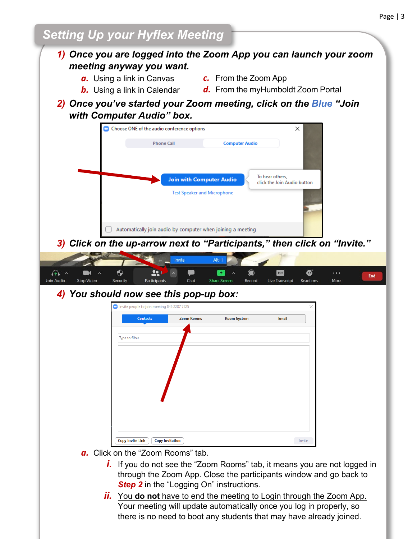# *Setting Up your Hyflex Meeting*

### *1) Once you are logged into the Zoom App you can launch your zoom meeting anyway you want.*

- *a.* Using a link in Canvas
- *c.* From the Zoom App
- *b.* Using a link in Calendar
- *d.* From the myHumboldt Zoom Portal
- *2) Once you've started your Zoom meeting, click on the Blue "Join with Computer Audio" box.*



*3) Click on the up-arrow next to "Participants," then click on "Invite."*



### *4) You should now see this pop-up box:*

| <b>Contacts</b> | <b>Zoom Rooms</b> | <b>Room System</b> | <b>Email</b> |
|-----------------|-------------------|--------------------|--------------|
|                 |                   |                    |              |
| Type to filter  |                   |                    |              |
|                 |                   |                    |              |
|                 |                   |                    |              |
|                 |                   |                    |              |
|                 |                   |                    |              |
|                 |                   |                    |              |
|                 |                   |                    |              |
|                 |                   |                    |              |
|                 |                   |                    |              |
|                 |                   |                    |              |

- *a.* Click on the "Zoom Rooms" tab.
	- *i.* If you do not see the "Zoom Rooms" tab, it means you are not logged in through the Zoom App. Close the participants window and go back to **Step 2** in the "Logging On" instructions.
	- *ii.* You **do not** have to end the meeting to Login through the Zoom App. Your meeting will update automatically once you log in properly, so there is no need to boot any students that may have already joined.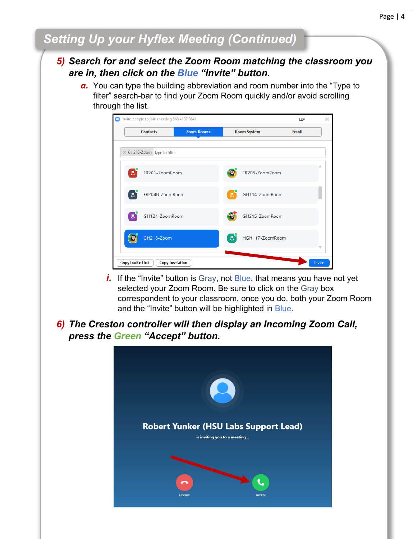# *Setting Up your Hyflex Meeting (Continued)*

#### *5) Search for and select the Zoom Room matching the classroom you are in, then click on the Blue "Invite" button.*

*a.* You can type the building abbreviation and room number into the "Type to filter" search-bar to find your Zoom Room quickly and/or avoid scrolling through the list.



- *i.* If the "Invite" button is Gray, not Blue, that means you have not yet selected your Zoom Room. Be sure to click on the Gray box correspondent to your classroom, once you do, both your Zoom Room and the "Invite" button will be highlighted in Blue.
- *6) The Creston controller will then display an Incoming Zoom Call, press the Green "Accept" button.*

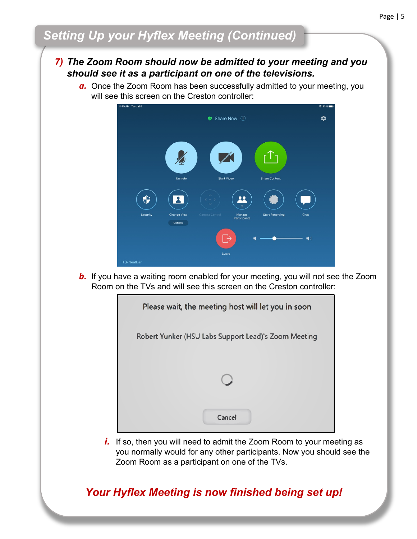# *Setting Up your Hyflex Meeting (Continued)*

### *7) The Zoom Room should now be admitted to your meeting and you should see it as a participant on one of the televisions.*

*a.* Once the Zoom Room has been successfully admitted to your meeting, you will see this screen on the Creston controller:



*b.* If you have a waiting room enabled for your meeting, you will not see the Zoom Room on the TVs and will see this screen on the Creston controller:



*i.* If so, then you will need to admit the Zoom Room to your meeting as you normally would for any other participants. Now you should see the Zoom Room as a participant on one of the TVs.

### *Your Hyflex Meeting is now finished being set up!*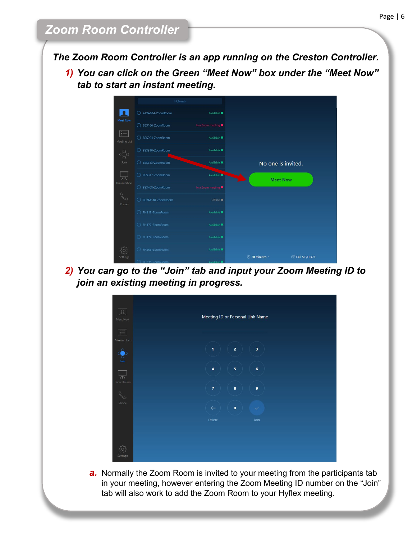*The Zoom Room Controller is an app running on the Creston Controller.*

*1) You can click on the Green "Meet Now" box under the "Meet Now" tab to start an instant meeting.*



*2) You can go to the "Join" tab and input your Zoom Meeting ID to join an existing meeting in progress.*



**a.** Normally the Zoom Room is invited to your meeting from the participants tab in your meeting, however entering the Zoom Meeting ID number on the "Join" tab will also work to add the Zoom Room to your Hyflex meeting.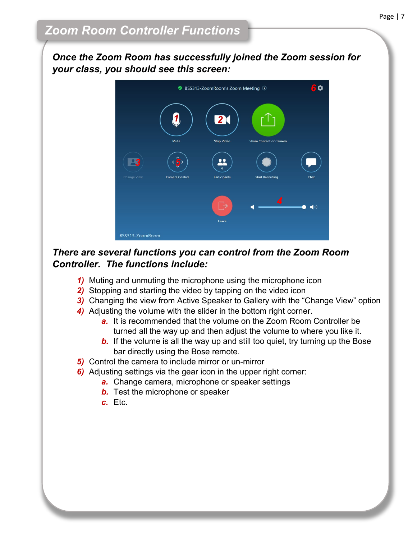*Once the Zoom Room has successfully joined the Zoom session for your class, you should see this screen:* 



### *There are several functions you can control from the Zoom Room Controller. The functions include:*

- *1)* Muting and unmuting the microphone using the microphone icon
- *2)* Stopping and starting the video by tapping on the video icon
- *3)* Changing the view from Active Speaker to Gallery with the "Change View" option
- *4)* Adjusting the volume with the slider in the bottom right corner.
	- *a.* It is recommended that the volume on the Zoom Room Controller be turned all the way up and then adjust the volume to where you like it.
	- **b.** If the volume is all the way up and still too quiet, try turning up the Bose bar directly using the Bose remote.
- *5)* Control the camera to include mirror or un-mirror
- *6)* Adjusting settings via the gear icon in the upper right corner:
	- *a.* Change camera, microphone or speaker settings
	- *b.* Test the microphone or speaker
	- *c.* Etc.